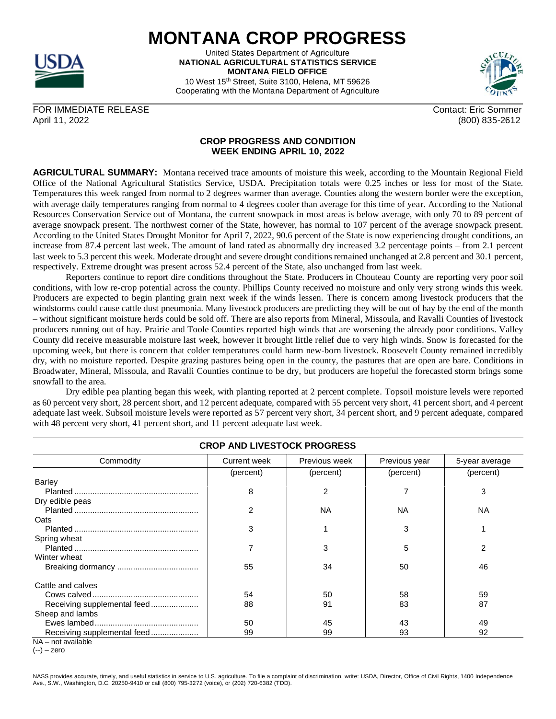

## **MONTANA CROP PROGRESS**

United States Department of Agriculture **NATIONAL AGRICULTURAL STATISTICS SERVICE MONTANA FIELD OFFICE** 10 West 15th Street, Suite 3100, Helena, MT 59626

Cooperating with the Montana Department of Agriculture



FOR IMMEDIATE RELEASE CONTACT AND THE SOME CONTACT SOME CONTACT ERIC SOMMER April 11, 2022 (800) 835-2612

## **CROP PROGRESS AND CONDITION**

**AGRICULTURAL SUMMARY:** Montana received trace amounts of moisture this week, according to the Mountain Regional Field Office of the National Agricultural Statistics Service, USDA. Precipitation totals were 0.25 inches or less for most of the State. Temperatures this week ranged from normal to 2 degrees warmer than average. Counties along the western border were the exception, with average daily temperatures ranging from normal to 4 degrees cooler than average for this time of year. According to the National Resources Conservation Service out of Montana, the current snowpack in most areas is below average, with only 70 to 89 percent of average snowpack present. The northwest corner of the State, however, has normal to 107 percent of the average snowpack present. According to the United States Drought Monitor for April 7, 2022, 90.6 percent of the State is now experiencing drought conditions, an increase from 87.4 percent last week. The amount of land rated as abnormally dry increased 3.2 percentage points – from 2.1 percent last week to 5.3 percent this week. Moderate drought and severe drought conditions remained unchanged at 2.8 percent and 30.1 percent, respectively. Extreme drought was present across 52.4 percent of the State, also unchanged from last week.

**WEEK ENDING APRIL 10, 2022**

Reporters continue to report dire conditions throughout the State. Producers in Chouteau County are reporting very poor soil conditions, with low re-crop potential across the county. Phillips County received no moisture and only very strong winds this week. Producers are expected to begin planting grain next week if the winds lessen. There is concern among livestock producers that the windstorms could cause cattle dust pneumonia. Many livestock producers are predicting they will be out of hay by the end of the month – without significant moisture herds could be sold off. There are also reports from Mineral, Missoula, and Ravalli Counties of livestock producers running out of hay. Prairie and Toole Counties reported high winds that are worsening the already poor conditions. Valley County did receive measurable moisture last week, however it brought little relief due to very high winds. Snow is forecasted for the upcoming week, but there is concern that colder temperatures could harm new-born livestock. Roosevelt County remained incredibly dry, with no moisture reported. Despite grazing pastures being open in the county, the pastures that are open are bare. Conditions in Broadwater, Mineral, Missoula, and Ravalli Counties continue to be dry, but producers are hopeful the forecasted storm brings some snowfall to the area.

Dry edible pea planting began this week, with planting reported at 2 percent complete. Topsoil moisture levels were reported as 60 percent very short, 28 percent short, and 12 percent adequate, compared with 55 percent very short, 41 percent short, and 4 percent adequate last week. Subsoil moisture levels were reported as 57 percent very short, 34 percent short, and 9 percent adequate, compared with 48 percent very short, 41 percent short, and 11 percent adequate last week.

| <b>CROP AND LIVESTOCK PROGRESS</b> |                     |               |               |                |  |  |
|------------------------------------|---------------------|---------------|---------------|----------------|--|--|
| Commodity                          | <b>Current week</b> | Previous week | Previous year | 5-year average |  |  |
|                                    | (percent)           | (percent)     | (percent)     | (percent)      |  |  |
| Barley                             |                     |               |               |                |  |  |
|                                    | 8                   | 2             |               | 3              |  |  |
| Dry edible peas                    |                     |               |               |                |  |  |
|                                    | 2                   | NA            | ΝA            | ΝA             |  |  |
| Oats                               |                     |               |               |                |  |  |
|                                    | 3                   |               | 3             |                |  |  |
| Spring wheat                       |                     |               |               |                |  |  |
|                                    |                     | 3             | 5             | 2              |  |  |
| Winter wheat                       |                     |               |               |                |  |  |
|                                    | 55                  | 34            | 50            | 46             |  |  |
| Cattle and calves                  |                     |               |               |                |  |  |
|                                    | 54                  | 50            | 58            | 59             |  |  |
| Receiving supplemental feed        | 88                  | 91            | 83            | 87             |  |  |
| Sheep and lambs                    |                     |               |               |                |  |  |
|                                    | 50                  | 45            | 43            | 49             |  |  |
| Receiving supplemental feed        | 99                  | 99            | 93            | 92             |  |  |
| $NA - not available$               |                     |               |               |                |  |  |

(--) – zero

NASS provides accurate, timely, and useful statistics in service to U.S. agriculture. To file a complaint of discrimination, write: USDA, Director, Office of Civil Rights, 1400 Independence Ave., S.W., Washington, D.C. 20250-9410 or call (800) 795-3272 (voice), or (202) 720-6382 (TDD).